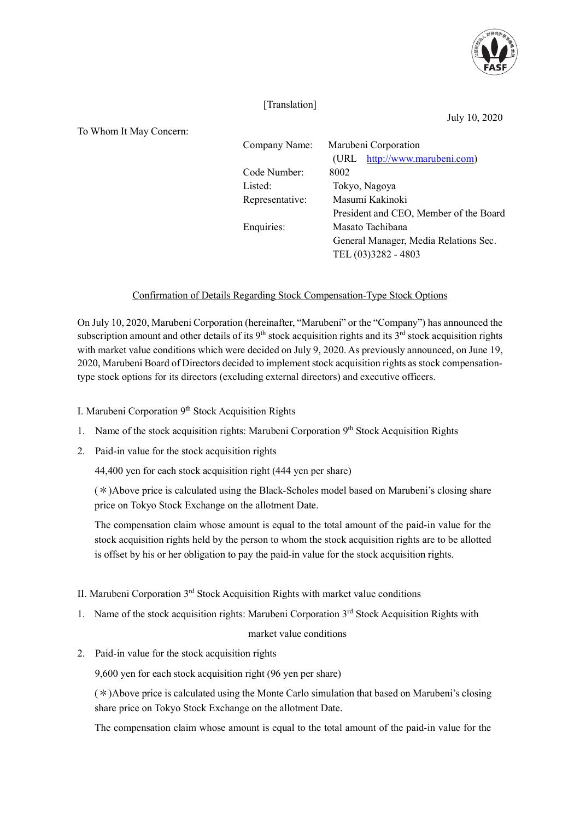

## [Translation]

July 10, 2020

To Whom It May Concern:

| $\ldots$ home report $\ldots$ |                 |                                        |
|-------------------------------|-----------------|----------------------------------------|
|                               | Company Name:   | Marubeni Corporation                   |
|                               |                 | (URL http://www.marubeni.com)          |
|                               | Code Number:    | 8002                                   |
|                               | Listed:         | Tokyo, Nagoya                          |
|                               | Representative: | Masumi Kakinoki                        |
|                               |                 | President and CEO, Member of the Board |
|                               | Enquiries:      | Masato Tachibana                       |
|                               |                 | General Manager, Media Relations Sec.  |
|                               |                 | TEL (03)3282 - 4803                    |

## Confirmation of Details Regarding Stock Compensation-Type Stock Options

On July 10, 2020, Marubeni Corporation (hereinafter, "Marubeni" or the "Company") has announced the subscription amount and other details of its  $9<sup>th</sup>$  stock acquisition rights and its  $3<sup>rd</sup>$  stock acquisition rights with market value conditions which were decided on July 9, 2020. As previously announced, on June 19, 2020, Marubeni Board of Directors decided to implement stock acquisition rights as stock compensationtype stock options for its directors (excluding external directors) and executive officers.

I. Marubeni Corporation  $9<sup>th</sup>$  Stock Acquisition Rights

- 1. Name of the stock acquisition rights: Marubeni Corporation 9<sup>th</sup> Stock Acquisition Rights
- 2. Paid-in value for the stock acquisition rights

44,400 yen for each stock acquisition right (444 yen per share)

(\*)Above price is calculated using the Black-Scholes model based on Marubeni's closing share price on Tokyo Stock Exchange on the allotment Date.

The compensation claim whose amount is equal to the total amount of the paid-in value for the stock acquisition rights held by the person to whom the stock acquisition rights are to be allotted is offset by his or her obligation to pay the paid-in value for the stock acquisition rights.

- II. Marubeni Corporation  $3<sup>rd</sup>$  Stock Acquisition Rights with market value conditions
- 1. Name of the stock acquisition rights: Marubeni Corporation 3<sup>rd</sup> Stock Acquisition Rights with

## market value conditions

2. Paid-in value for the stock acquisition rights

9,600 yen for each stock acquisition right (96 yen per share)

 $(*)$ Above price is calculated using the Monte Carlo simulation that based on Marubeni's closing share price on Tokyo Stock Exchange on the allotment Date.

The compensation claim whose amount is equal to the total amount of the paid-in value for the